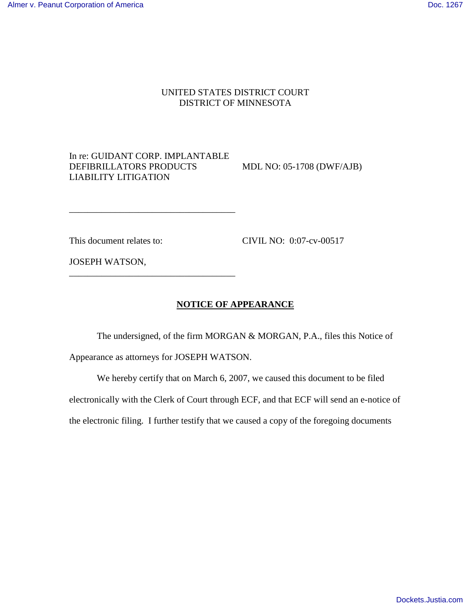## UNITED STATES DISTRICT COURT DISTRICT OF MINNESOTA

## In re: GUIDANT CORP. IMPLANTABLE DEFIBRILLATORS PRODUCTS MDL NO: 05-1708 (DWF/AJB) LIABILITY LITIGATION

\_\_\_\_\_\_\_\_\_\_\_\_\_\_\_\_\_\_\_\_\_\_\_\_\_\_\_\_\_\_\_\_\_\_\_\_

\_\_\_\_\_\_\_\_\_\_\_\_\_\_\_\_\_\_\_\_\_\_\_\_\_\_\_\_\_\_\_\_\_\_\_\_

This document relates to: CIVIL NO: 0:07-cv-00517

JOSEPH WATSON,

## **NOTICE OF APPEARANCE**

 The undersigned, of the firm MORGAN & MORGAN, P.A., files this Notice of Appearance as attorneys for JOSEPH WATSON.

 We hereby certify that on March 6, 2007, we caused this document to be filed electronically with the Clerk of Court through ECF, and that ECF will send an e-notice of the electronic filing. I further testify that we caused a copy of the foregoing documents